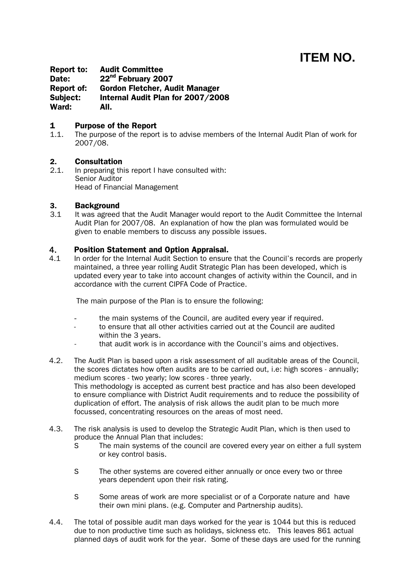# **ITEM NO.**

Report to: Audit Committee Date: 22<sup>nd</sup> February 2007 Report of: Gordon Fletcher, Audit Manager Subject: Internal Audit Plan for 2007/2008 Ward: All.

# **1 Purpose of the Report**<br>1.1. The purpose of the report

The purpose of the report is to advise members of the Internal Audit Plan of work for 2007/08.

#### 2. Consultation

2.1. In preparing this report I have consulted with: Senior Auditor Head of Financial Management

#### 3. Background

3.1 It was agreed that the Audit Manager would report to the Audit Committee the Internal Audit Plan for 2007/08. An explanation of how the plan was formulated would be given to enable members to discuss any possible issues.

## 4. Position Statement and Option Appraisal.

4.1 In order for the Internal Audit Section to ensure that the Council's records are properly maintained, a three year rolling Audit Strategic Plan has been developed, which is updated every year to take into account changes of activity within the Council, and in accordance with the current CIPFA Code of Practice.

The main purpose of the Plan is to ensure the following:

- the main systems of the Council, are audited every year if required.
- to ensure that all other activities carried out at the Council are audited within the 3 years.
- that audit work is in accordance with the Council's aims and objectives.
- 4.2. The Audit Plan is based upon a risk assessment of all auditable areas of the Council, the scores dictates how often audits are to be carried out, i.e: high scores - annually; medium scores - two yearly; low scores - three yearly. This methodology is accepted as current best practice and has also been developed to ensure compliance with District Audit requirements and to reduce the possibility of duplication of effort. The analysis of risk allows the audit plan to be much more focussed, concentrating resources on the areas of most need.
- 4.3. The risk analysis is used to develop the Strategic Audit Plan, which is then used to produce the Annual Plan that includes:
	- S The main systems of the council are covered every year on either a full system or key control basis.
	- S The other systems are covered either annually or once every two or three years dependent upon their risk rating.
	- S Some areas of work are more specialist or of a Corporate nature and have their own mini plans. (e.g. Computer and Partnership audits).
- 4.4. The total of possible audit man days worked for the year is 1044 but this is reduced due to non productive time such as holidays, sickness etc. This leaves 861 actual planned days of audit work for the year. Some of these days are used for the running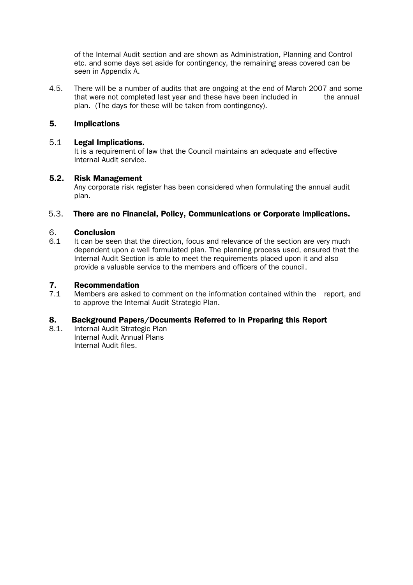of the Internal Audit section and are shown as Administration, Planning and Control etc. and some days set aside for contingency, the remaining areas covered can be seen in Appendix A.

4.5. There will be a number of audits that are ongoing at the end of March 2007 and some that were not completed last year and these have been included in the annual plan. (The days for these will be taken from contingency).

## 5. Implications

#### 5.1 Legal Implications.

It is a requirement of law that the Council maintains an adequate and effective Internal Audit service.

#### 5.2. Risk Management

Any corporate risk register has been considered when formulating the annual audit plan.

#### 5.3. There are no Financial, Policy, Communications or Corporate implications.

#### 6. Conclusion

6.1 It can be seen that the direction, focus and relevance of the section are very much dependent upon a well formulated plan. The planning process used, ensured that the Internal Audit Section is able to meet the requirements placed upon it and also provide a valuable service to the members and officers of the council.

#### 7. Recommendation

7.1 Members are asked to comment on the information contained within the report, and to approve the Internal Audit Strategic Plan.

### 8. Background Papers/Documents Referred to in Preparing this Report

8.1. Internal Audit Strategic Plan Internal Audit Annual Plans Internal Audit files.